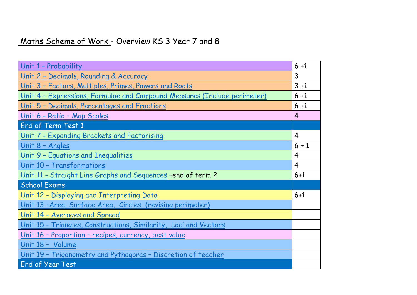## Maths Scheme of Work - Overview KS 3 Year 7 and 8

| Unit 1 - Probability                                                             | $6 + 1$        |
|----------------------------------------------------------------------------------|----------------|
| Unit 2 - Decimals, Rounding & Accuracy                                           | 3              |
| Unit 3 - Factors, Multiples, Primes, Powers and Roots                            | $3 + 1$        |
| <u> Unit 4 - Expressions, Formulae and Compound Measures (Include perimeter)</u> | $6 + 1$        |
| Unit 5 - Decimals, Percentages and Fractions                                     | $6 + 1$        |
| Unit 6 - Ratio - Map Scales                                                      | $\overline{4}$ |
| <b>End of Term Test 1</b>                                                        |                |
| Unit 7 - Expanding Brackets and Factorising                                      | $\overline{4}$ |
| Unit 8 - Angles                                                                  | $6 + 1$        |
| Unit 9 - Equations and Inequalities                                              | 4              |
| Unit 10 - Transformations                                                        | 4              |
| <u>Unit 11 - Straight Line Graphs and Sequences - end of term 2</u>              | $6 + 1$        |
| <b>School Exams</b>                                                              |                |
| Unit 12 - Displaying and Interpreting Data                                       | $6 + 1$        |
| Unit 13-Area, Surface Area, Circles (revising perimeter)                         |                |
| Unit 14 - Averages and Spread                                                    |                |
| <u>Unit 15 - Triangles, Constructions, Similarity, Loci and Vectors</u>          |                |
| Unit 16 - Proportion - recipes, currency, best value                             |                |
| Unit 18 - Volume                                                                 |                |
| Unit 19 - Trigonometry and Pythagoras - Discretion of teacher                    |                |
| <b>End of Year Test</b>                                                          |                |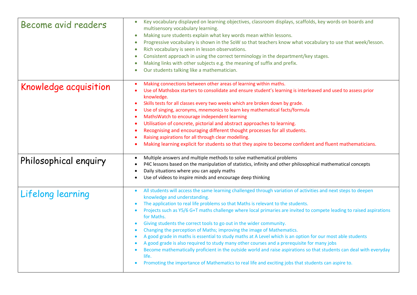| Become avid readers   | Key vocabulary displayed on learning objectives, classroom displays, scaffolds, key words on boards and<br>multisensory vocabulary learning.<br>Making sure students explain what key words mean within lessons.<br>$\bullet$<br>Progressive vocabulary is shown in the SoW so that teachers know what vocabulary to use that week/lesson.<br>Rich vocabulary is seen in lesson observations.<br>$\bullet$<br>Consistent approach in using the correct terminology in the department/key stages.<br>$\bullet$<br>Making links with other subjects e.g. the meaning of suffix and prefix.<br>Our students talking like a mathematician.<br>$\bullet$                                                                                                                                                                                                                                                                                                                                                   |
|-----------------------|-------------------------------------------------------------------------------------------------------------------------------------------------------------------------------------------------------------------------------------------------------------------------------------------------------------------------------------------------------------------------------------------------------------------------------------------------------------------------------------------------------------------------------------------------------------------------------------------------------------------------------------------------------------------------------------------------------------------------------------------------------------------------------------------------------------------------------------------------------------------------------------------------------------------------------------------------------------------------------------------------------|
| Knowledge acquisition | Making connections between other areas of learning within maths.<br>Use of Mathsbox starters to consolidate and ensure student's learning is interleaved and used to assess prior<br>knowledge.<br>Skills tests for all classes every two weeks which are broken down by grade.<br>$\bullet$<br>Use of singing, acronyms, mnemonics to learn key mathematical facts/formula<br>MathsWatch to encourage independent learning<br>Utilisation of concrete, pictorial and abstract approaches to learning.<br>Recognising and encouraging different thought processes for all students.<br>Raising aspirations for all through clear modelling.<br>Making learning explicit for students so that they aspire to become confident and fluent mathematicians.                                                                                                                                                                                                                                               |
| Philosophical enquiry | Multiple answers and multiple methods to solve mathematical problems<br>P4C lessons based on the manipulation of statistics, infinity and other philosophical mathematical concepts<br>Daily situations where you can apply maths<br>Use of videos to inspire minds and encourage deep thinking                                                                                                                                                                                                                                                                                                                                                                                                                                                                                                                                                                                                                                                                                                       |
| Lifelong learning     | All students will access the same learning challenged through variation of activities and next steps to deepen<br>$\bullet$<br>knowledge and understanding.<br>The application to real life problems so that Maths is relevant to the students.<br>Projects such as Y5/6 G+T maths challenge where local primaries are invited to compete leading to raised aspirations<br>$\bullet$<br>for Maths.<br>Giving students the correct tools to go out in the wider community.<br>Changing the perception of Maths; improving the image of Mathematics.<br>A good grade in maths is essential to study maths at A Level which is an option for our most able students<br>A good grade is also required to study many other courses and a prerequisite for many jobs<br>Become mathematically proficient in the outside world and raise aspirations so that students can deal with everyday<br>life.<br>Promoting the importance of Mathematics to real life and exciting jobs that students can aspire to. |